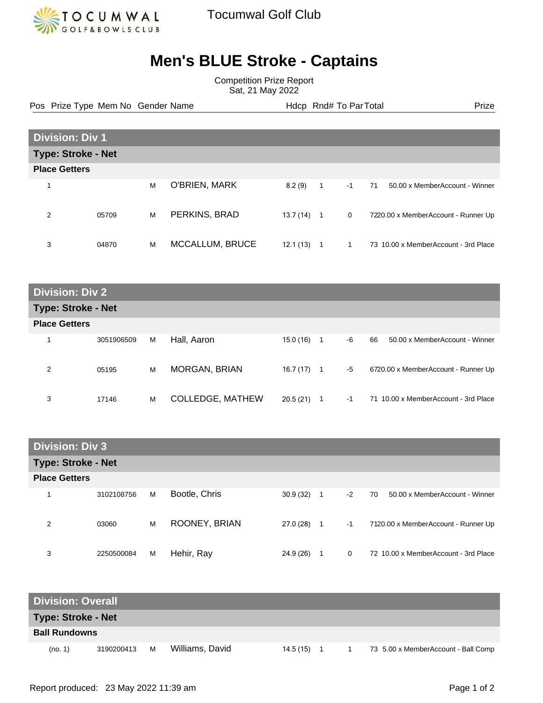

## **Men's BLUE Stroke - Captains**

Competition Prize Report Sat, 21 May 2022

Pos Prize Type Mem No Gender Name **Heath Amedeus Hotel And Amedeus** Hotel Prize Prize

| <b>Division: Div 1</b>    |       |   |                 |          |                |              |                                      |  |
|---------------------------|-------|---|-----------------|----------|----------------|--------------|--------------------------------------|--|
| <b>Type: Stroke - Net</b> |       |   |                 |          |                |              |                                      |  |
| <b>Place Getters</b>      |       |   |                 |          |                |              |                                      |  |
| $\overline{\mathbf{A}}$   |       | M | O'BRIEN, MARK   | 8.2(9)   | $\overline{1}$ | $-1$         | 71<br>50.00 x MemberAccount - Winner |  |
| 2                         | 05709 | M | PERKINS, BRAD   | 13.7(14) | $\overline{1}$ | $\mathbf{0}$ | 7220.00 x MemberAccount - Runner Up  |  |
| 3                         | 04870 | M | MCCALLUM, BRUCE | 12.1(13) |                |              | 73 10.00 x MemberAccount - 3rd Place |  |

**Division: Div 2 Type: Stroke - Net Place Getters** 1 3051906509 M Hall, Aaron 15.0 (16) 1 -6 66 50.00 x MemberAccount - Winner 2 05195 M MORGAN, BRIAN 16.7 (17) 1 -5 6720.00 x MemberAccount - Runner Up 3 17146 M COLLEDGE, MATHEW 20.5 (21) 1 -1 71 10.00 x MemberAccount - 3rd Place

| <b>Division: Div 3</b>    |            |   |               |           |    |          |                                      |  |
|---------------------------|------------|---|---------------|-----------|----|----------|--------------------------------------|--|
| <b>Type: Stroke - Net</b> |            |   |               |           |    |          |                                      |  |
| <b>Place Getters</b>      |            |   |               |           |    |          |                                      |  |
|                           | 3102108756 | M | Bootle, Chris | 30.9(32)  | 1  | $-2$     | 50.00 x MemberAccount - Winner<br>70 |  |
| 2                         | 03060      | M | ROONEY, BRIAN | 27.0 (28) | -1 | $-1$     | 7120.00 x MemberAccount - Runner Up  |  |
| 3                         | 2250500084 | M | Hehir, Ray    | 24.9 (26) | 1  | $\Omega$ | 72 10.00 x MemberAccount - 3rd Place |  |

| <b>Division: Overall</b>  |            |   |                 |           |  |                                     |
|---------------------------|------------|---|-----------------|-----------|--|-------------------------------------|
| <b>Type: Stroke - Net</b> |            |   |                 |           |  |                                     |
| <b>Ball Rundowns</b>      |            |   |                 |           |  |                                     |
| (no. 1)                   | 3190200413 | м | Williams, David | 14.5 (15) |  | 73 5.00 x MemberAccount - Ball Comp |